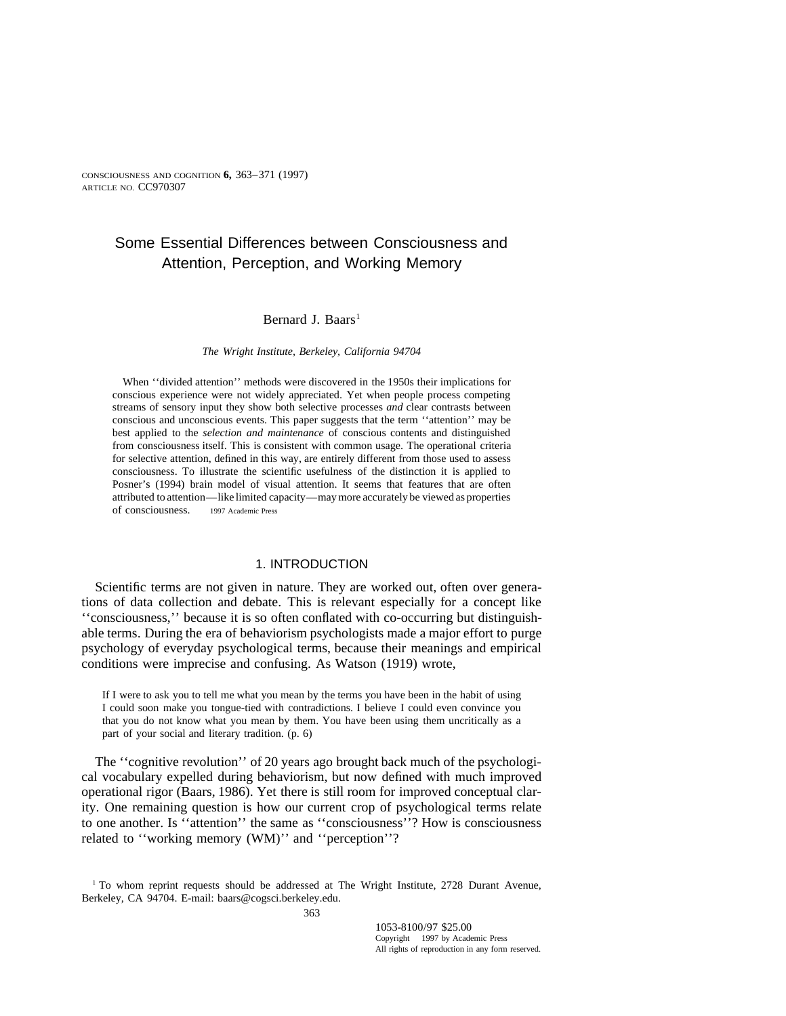# Some Essential Differences between Consciousness and Attention, Perception, and Working Memory

Bernard J. Baars<sup>1</sup>

*The Wright Institute, Berkeley, California 94704*

When ''divided attention'' methods were discovered in the 1950s their implications for conscious experience were not widely appreciated. Yet when people process competing streams of sensory input they show both selective processes *and* clear contrasts between conscious and unconscious events. This paper suggests that the term ''attention'' may be best applied to the *selection and maintenance* of conscious contents and distinguished from consciousness itself. This is consistent with common usage. The operational criteria for selective attention, defined in this way, are entirely different from those used to assess consciousness. To illustrate the scientific usefulness of the distinction it is applied to Posner's (1994) brain model of visual attention. It seems that features that are often attributed to attention—like limited capacity—may more accurately be viewed as properties of consciousness. 1997 Academic Press

### 1. INTRODUCTION

Scientific terms are not given in nature. They are worked out, often over generations of data collection and debate. This is relevant especially for a concept like ''consciousness,'' because it is so often conflated with co-occurring but distinguishable terms. During the era of behaviorism psychologists made a major effort to purge psychology of everyday psychological terms, because their meanings and empirical conditions were imprecise and confusing. As Watson (1919) wrote,

If I were to ask you to tell me what you mean by the terms you have been in the habit of using I could soon make you tongue-tied with contradictions. I believe I could even convince you that you do not know what you mean by them. You have been using them uncritically as a part of your social and literary tradition. (p. 6)

The ''cognitive revolution'' of 20 years ago brought back much of the psychological vocabulary expelled during behaviorism, but now defined with much improved operational rigor (Baars, 1986). Yet there is still room for improved conceptual clarity. One remaining question is how our current crop of psychological terms relate to one another. Is ''attention'' the same as ''consciousness''? How is consciousness related to ''working memory (WM)'' and ''perception''?

<sup>&</sup>lt;sup>1</sup> To whom reprint requests should be addressed at The Wright Institute, 2728 Durant Avenue, Berkeley, CA 94704. E-mail: baars@cogsci.berkeley.edu.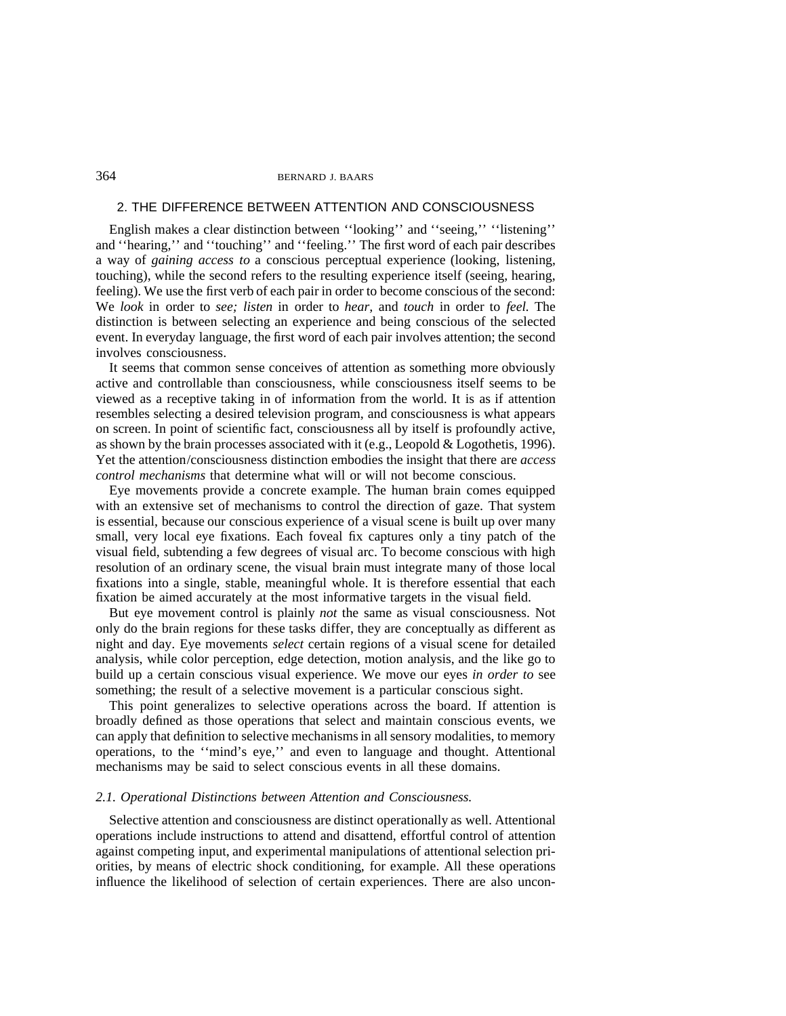### 2. THE DIFFERENCE BETWEEN ATTENTION AND CONSCIOUSNESS

English makes a clear distinction between ''looking'' and ''seeing,'' ''listening'' and ''hearing,'' and ''touching'' and ''feeling.'' The first word of each pair describes a way of *gaining access to* a conscious perceptual experience (looking, listening, touching), while the second refers to the resulting experience itself (seeing, hearing, feeling). We use the first verb of each pair in order to become conscious of the second: We *look* in order to *see; listen* in order to *hear,* and *touch* in order to *feel.* The distinction is between selecting an experience and being conscious of the selected event. In everyday language, the first word of each pair involves attention; the second involves consciousness.

It seems that common sense conceives of attention as something more obviously active and controllable than consciousness, while consciousness itself seems to be viewed as a receptive taking in of information from the world. It is as if attention resembles selecting a desired television program, and consciousness is what appears on screen. In point of scientific fact, consciousness all by itself is profoundly active, as shown by the brain processes associated with it (e.g., Leopold & Logothetis, 1996). Yet the attention/consciousness distinction embodies the insight that there are *access control mechanisms* that determine what will or will not become conscious.

Eye movements provide a concrete example. The human brain comes equipped with an extensive set of mechanisms to control the direction of gaze. That system is essential, because our conscious experience of a visual scene is built up over many small, very local eye fixations. Each foveal fix captures only a tiny patch of the visual field, subtending a few degrees of visual arc. To become conscious with high resolution of an ordinary scene, the visual brain must integrate many of those local fixations into a single, stable, meaningful whole. It is therefore essential that each fixation be aimed accurately at the most informative targets in the visual field.

But eye movement control is plainly *not* the same as visual consciousness. Not only do the brain regions for these tasks differ, they are conceptually as different as night and day. Eye movements *select* certain regions of a visual scene for detailed analysis, while color perception, edge detection, motion analysis, and the like go to build up a certain conscious visual experience. We move our eyes *in order to* see something; the result of a selective movement is a particular conscious sight.

This point generalizes to selective operations across the board. If attention is broadly defined as those operations that select and maintain conscious events, we can apply that definition to selective mechanisms in all sensory modalities, to memory operations, to the ''mind's eye,'' and even to language and thought. Attentional mechanisms may be said to select conscious events in all these domains.

### *2.1. Operational Distinctions between Attention and Consciousness.*

Selective attention and consciousness are distinct operationally as well. Attentional operations include instructions to attend and disattend, effortful control of attention against competing input, and experimental manipulations of attentional selection priorities, by means of electric shock conditioning, for example. All these operations influence the likelihood of selection of certain experiences. There are also uncon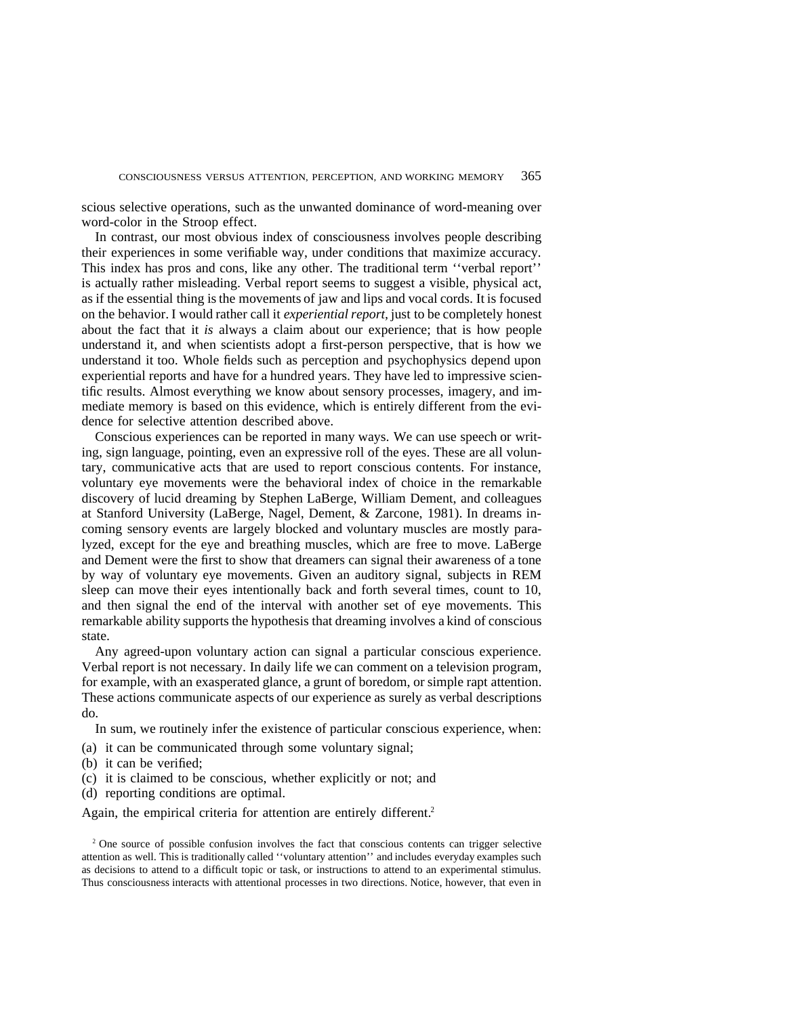scious selective operations, such as the unwanted dominance of word-meaning over word-color in the Stroop effect.

In contrast, our most obvious index of consciousness involves people describing their experiences in some verifiable way, under conditions that maximize accuracy. This index has pros and cons, like any other. The traditional term ''verbal report'' is actually rather misleading. Verbal report seems to suggest a visible, physical act, as if the essential thing is the movements of jaw and lips and vocal cords. It is focused on the behavior. I would rather call it *experiential report,* just to be completely honest about the fact that it *is* always a claim about our experience; that is how people understand it, and when scientists adopt a first-person perspective, that is how we understand it too. Whole fields such as perception and psychophysics depend upon experiential reports and have for a hundred years. They have led to impressive scientific results. Almost everything we know about sensory processes, imagery, and immediate memory is based on this evidence, which is entirely different from the evidence for selective attention described above.

Conscious experiences can be reported in many ways. We can use speech or writing, sign language, pointing, even an expressive roll of the eyes. These are all voluntary, communicative acts that are used to report conscious contents. For instance, voluntary eye movements were the behavioral index of choice in the remarkable discovery of lucid dreaming by Stephen LaBerge, William Dement, and colleagues at Stanford University (LaBerge, Nagel, Dement, & Zarcone, 1981). In dreams incoming sensory events are largely blocked and voluntary muscles are mostly paralyzed, except for the eye and breathing muscles, which are free to move. LaBerge and Dement were the first to show that dreamers can signal their awareness of a tone by way of voluntary eye movements. Given an auditory signal, subjects in REM sleep can move their eyes intentionally back and forth several times, count to 10, and then signal the end of the interval with another set of eye movements. This remarkable ability supports the hypothesis that dreaming involves a kind of conscious state.

Any agreed-upon voluntary action can signal a particular conscious experience. Verbal report is not necessary. In daily life we can comment on a television program, for example, with an exasperated glance, a grunt of boredom, or simple rapt attention. These actions communicate aspects of our experience as surely as verbal descriptions do.

In sum, we routinely infer the existence of particular conscious experience, when:

(a) it can be communicated through some voluntary signal;

- (b) it can be verified;
- (c) it is claimed to be conscious, whether explicitly or not; and
- (d) reporting conditions are optimal.

Again, the empirical criteria for attention are entirely different.<sup>2</sup>

<sup>2</sup> One source of possible confusion involves the fact that conscious contents can trigger selective attention as well. This is traditionally called ''voluntary attention'' and includes everyday examples such as decisions to attend to a difficult topic or task, or instructions to attend to an experimental stimulus. Thus consciousness interacts with attentional processes in two directions. Notice, however, that even in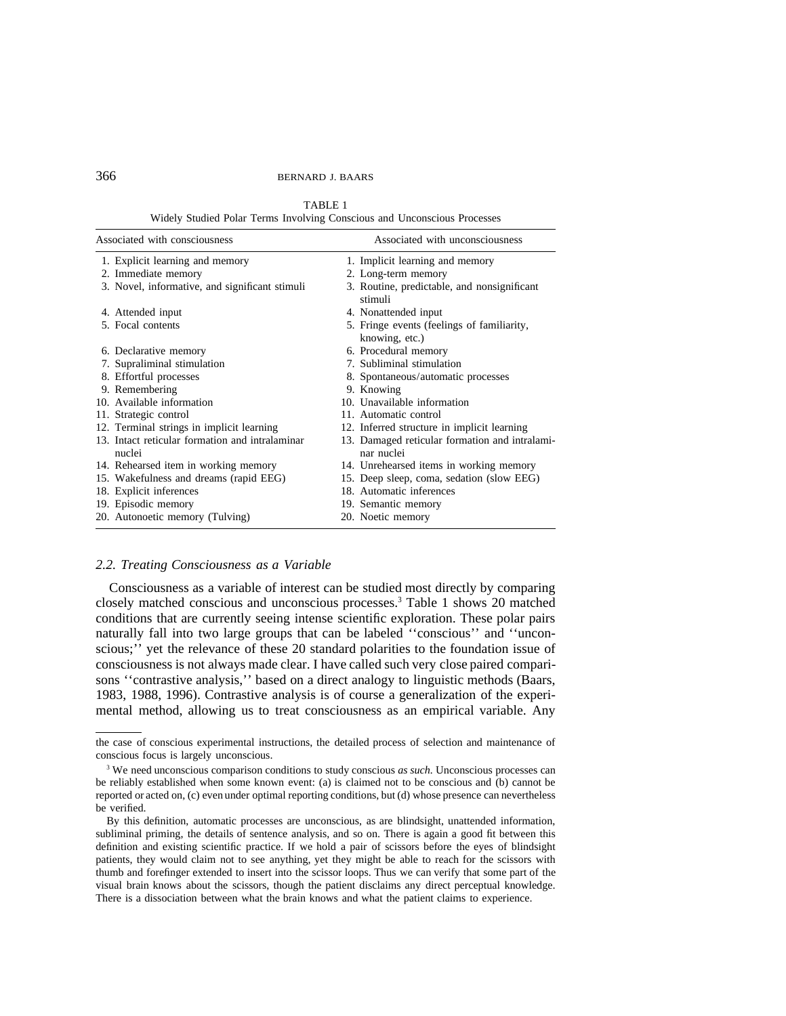#### 366 BERNARD J. BAARS

| Associated with consciousness |                                                           | Associated with unconsciousness                              |  |
|-------------------------------|-----------------------------------------------------------|--------------------------------------------------------------|--|
|                               | 1. Explicit learning and memory                           | 1. Implicit learning and memory                              |  |
|                               | 2. Immediate memory                                       | 2. Long-term memory                                          |  |
|                               | 3. Novel, informative, and significant stimuli            | 3. Routine, predictable, and nonsignificant<br>stimuli       |  |
|                               | 4. Attended input                                         | 4. Nonattended input                                         |  |
|                               | 5. Focal contents                                         | 5. Fringe events (feelings of familiarity,<br>knowing, etc.) |  |
|                               | 6. Declarative memory                                     | 6. Procedural memory                                         |  |
|                               | 7. Supraliminal stimulation                               | 7. Subliminal stimulation                                    |  |
|                               | 8. Effortful processes                                    | 8. Spontaneous/automatic processes                           |  |
|                               | 9. Remembering                                            | 9. Knowing                                                   |  |
|                               | 10. Available information                                 | 10. Unavailable information                                  |  |
|                               | 11. Strategic control                                     | 11. Automatic control                                        |  |
|                               | 12. Terminal strings in implicit learning                 | 12. Inferred structure in implicit learning                  |  |
|                               | 13. Intact reticular formation and intralaminar<br>nuclei | 13. Damaged reticular formation and intralami-<br>nar nuclei |  |
|                               | 14. Rehearsed item in working memory                      | 14. Unrehearsed items in working memory                      |  |
|                               | 15. Wakefulness and dreams (rapid EEG)                    | 15. Deep sleep, coma, sedation (slow EEG)                    |  |
|                               | 18. Explicit inferences                                   | 18. Automatic inferences                                     |  |
|                               | 19. Episodic memory                                       | 19. Semantic memory                                          |  |
|                               | 20. Autonoetic memory (Tulving)                           | 20. Noetic memory                                            |  |
|                               |                                                           |                                                              |  |

Widely Studied Polar Terms Involving Conscious and Unconscious Processes

#### *2.2. Treating Consciousness as a Variable*

Consciousness as a variable of interest can be studied most directly by comparing closely matched conscious and unconscious processes.3 Table 1 shows 20 matched conditions that are currently seeing intense scientific exploration. These polar pairs naturally fall into two large groups that can be labeled ''conscious'' and ''unconscious;'' yet the relevance of these 20 standard polarities to the foundation issue of consciousness is not always made clear. I have called such very close paired comparisons "contrastive analysis," based on a direct analogy to linguistic methods (Baars, 1983, 1988, 1996). Contrastive analysis is of course a generalization of the experimental method, allowing us to treat consciousness as an empirical variable. Any

the case of conscious experimental instructions, the detailed process of selection and maintenance of conscious focus is largely unconscious.

<sup>3</sup> We need unconscious comparison conditions to study conscious *as such.* Unconscious processes can be reliably established when some known event: (a) is claimed not to be conscious and (b) cannot be reported or acted on, (c) even under optimal reporting conditions, but (d) whose presence can nevertheless be verified.

By this definition, automatic processes are unconscious, as are blindsight, unattended information, subliminal priming, the details of sentence analysis, and so on. There is again a good fit between this definition and existing scientific practice. If we hold a pair of scissors before the eyes of blindsight patients, they would claim not to see anything, yet they might be able to reach for the scissors with thumb and forefinger extended to insert into the scissor loops. Thus we can verify that some part of the visual brain knows about the scissors, though the patient disclaims any direct perceptual knowledge. There is a dissociation between what the brain knows and what the patient claims to experience.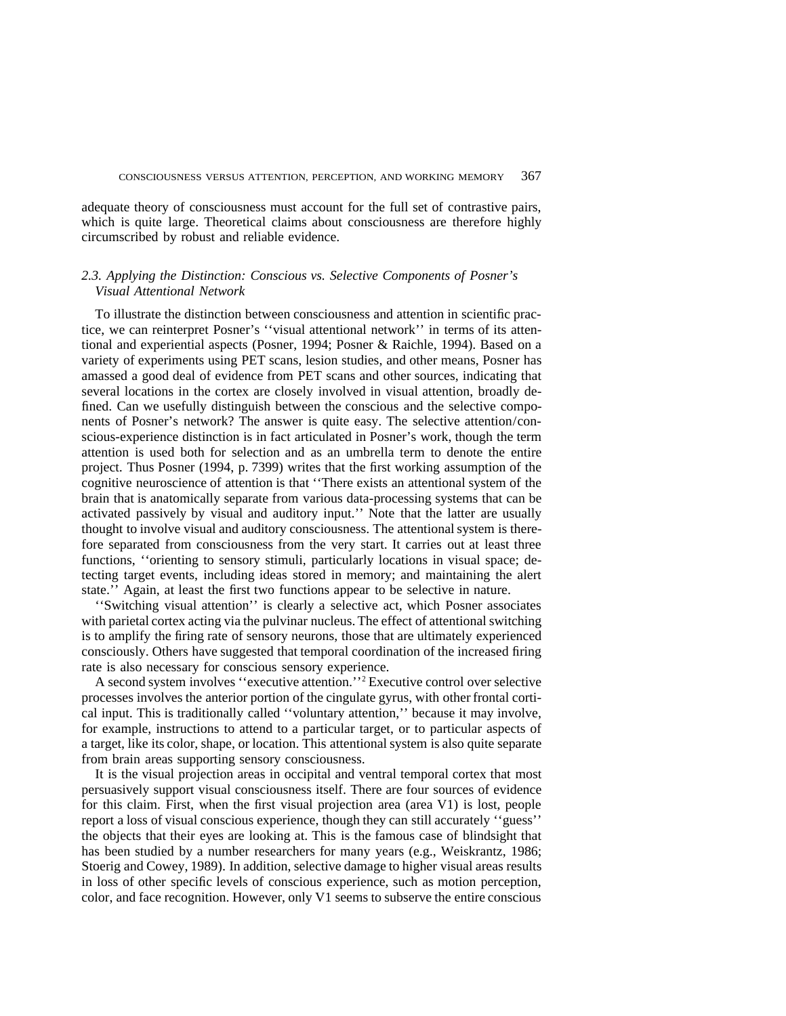adequate theory of consciousness must account for the full set of contrastive pairs, which is quite large. Theoretical claims about consciousness are therefore highly circumscribed by robust and reliable evidence.

# *2.3. Applying the Distinction: Conscious vs. Selective Components of Posner's Visual Attentional Network*

To illustrate the distinction between consciousness and attention in scientific practice, we can reinterpret Posner's ''visual attentional network'' in terms of its attentional and experiential aspects (Posner, 1994; Posner & Raichle, 1994). Based on a variety of experiments using PET scans, lesion studies, and other means, Posner has amassed a good deal of evidence from PET scans and other sources, indicating that several locations in the cortex are closely involved in visual attention, broadly defined. Can we usefully distinguish between the conscious and the selective components of Posner's network? The answer is quite easy. The selective attention/conscious-experience distinction is in fact articulated in Posner's work, though the term attention is used both for selection and as an umbrella term to denote the entire project. Thus Posner (1994, p. 7399) writes that the first working assumption of the cognitive neuroscience of attention is that ''There exists an attentional system of the brain that is anatomically separate from various data-processing systems that can be activated passively by visual and auditory input.'' Note that the latter are usually thought to involve visual and auditory consciousness. The attentional system is therefore separated from consciousness from the very start. It carries out at least three functions, ''orienting to sensory stimuli, particularly locations in visual space; detecting target events, including ideas stored in memory; and maintaining the alert state.'' Again, at least the first two functions appear to be selective in nature.

''Switching visual attention'' is clearly a selective act, which Posner associates with parietal cortex acting via the pulvinar nucleus. The effect of attentional switching is to amplify the firing rate of sensory neurons, those that are ultimately experienced consciously. Others have suggested that temporal coordination of the increased firing rate is also necessary for conscious sensory experience.

A second system involves ''executive attention.''2 Executive control over selective processes involves the anterior portion of the cingulate gyrus, with other frontal cortical input. This is traditionally called ''voluntary attention,'' because it may involve, for example, instructions to attend to a particular target, or to particular aspects of a target, like its color, shape, or location. This attentional system is also quite separate from brain areas supporting sensory consciousness.

It is the visual projection areas in occipital and ventral temporal cortex that most persuasively support visual consciousness itself. There are four sources of evidence for this claim. First, when the first visual projection area (area V1) is lost, people report a loss of visual conscious experience, though they can still accurately ''guess'' the objects that their eyes are looking at. This is the famous case of blindsight that has been studied by a number researchers for many years (e.g., Weiskrantz, 1986; Stoerig and Cowey, 1989). In addition, selective damage to higher visual areas results in loss of other specific levels of conscious experience, such as motion perception, color, and face recognition. However, only V1 seems to subserve the entire conscious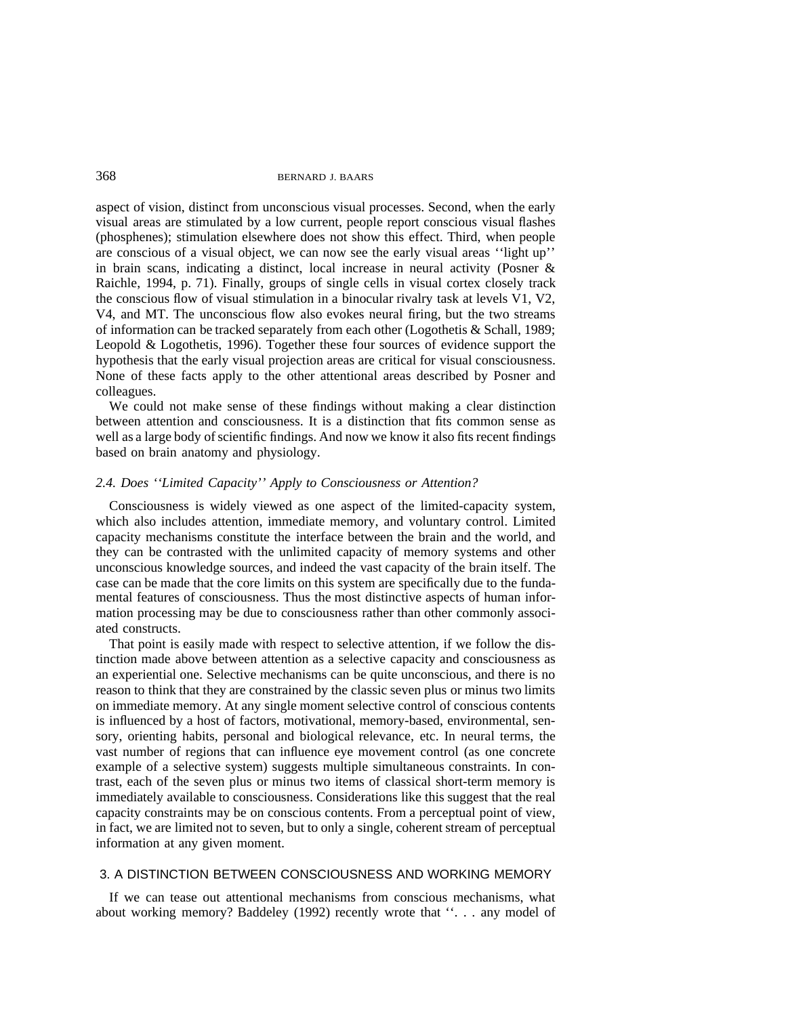aspect of vision, distinct from unconscious visual processes. Second, when the early visual areas are stimulated by a low current, people report conscious visual flashes (phosphenes); stimulation elsewhere does not show this effect. Third, when people are conscious of a visual object, we can now see the early visual areas ''light up'' in brain scans, indicating a distinct, local increase in neural activity (Posner & Raichle, 1994, p. 71). Finally, groups of single cells in visual cortex closely track the conscious flow of visual stimulation in a binocular rivalry task at levels V1, V2, V4, and MT. The unconscious flow also evokes neural firing, but the two streams of information can be tracked separately from each other (Logothetis & Schall, 1989; Leopold & Logothetis, 1996). Together these four sources of evidence support the hypothesis that the early visual projection areas are critical for visual consciousness. None of these facts apply to the other attentional areas described by Posner and colleagues.

We could not make sense of these findings without making a clear distinction between attention and consciousness. It is a distinction that fits common sense as well as a large body of scientific findings. And now we know it also fits recent findings based on brain anatomy and physiology.

# *2.4. Does ''Limited Capacity'' Apply to Consciousness or Attention?*

Consciousness is widely viewed as one aspect of the limited-capacity system, which also includes attention, immediate memory, and voluntary control. Limited capacity mechanisms constitute the interface between the brain and the world, and they can be contrasted with the unlimited capacity of memory systems and other unconscious knowledge sources, and indeed the vast capacity of the brain itself. The case can be made that the core limits on this system are specifically due to the fundamental features of consciousness. Thus the most distinctive aspects of human information processing may be due to consciousness rather than other commonly associated constructs.

That point is easily made with respect to selective attention, if we follow the distinction made above between attention as a selective capacity and consciousness as an experiential one. Selective mechanisms can be quite unconscious, and there is no reason to think that they are constrained by the classic seven plus or minus two limits on immediate memory. At any single moment selective control of conscious contents is influenced by a host of factors, motivational, memory-based, environmental, sensory, orienting habits, personal and biological relevance, etc. In neural terms, the vast number of regions that can influence eye movement control (as one concrete example of a selective system) suggests multiple simultaneous constraints. In contrast, each of the seven plus or minus two items of classical short-term memory is immediately available to consciousness. Considerations like this suggest that the real capacity constraints may be on conscious contents. From a perceptual point of view, in fact, we are limited not to seven, but to only a single, coherent stream of perceptual information at any given moment.

### 3. A DISTINCTION BETWEEN CONSCIOUSNESS AND WORKING MEMORY

If we can tease out attentional mechanisms from conscious mechanisms, what about working memory? Baddeley (1992) recently wrote that ''. . . any model of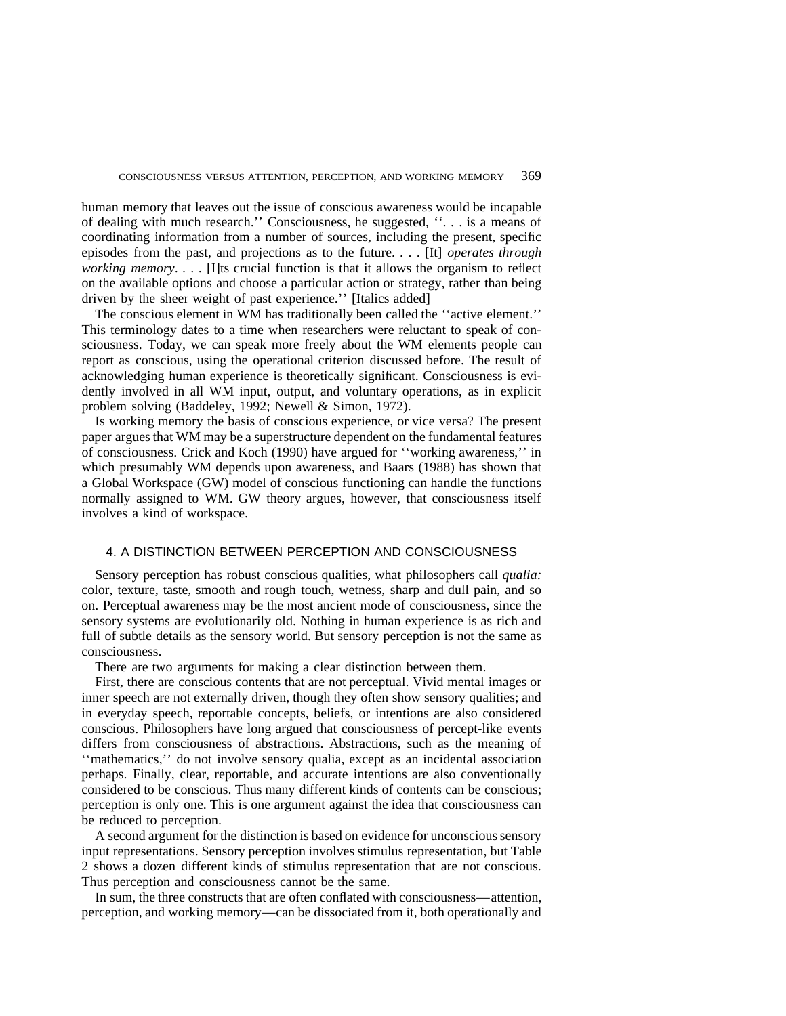human memory that leaves out the issue of conscious awareness would be incapable of dealing with much research.'' Consciousness, he suggested, ''. . . is a means of coordinating information from a number of sources, including the present, specific episodes from the past, and projections as to the future. . . . [It] *operates through working memory.* . . . [I]ts crucial function is that it allows the organism to reflect on the available options and choose a particular action or strategy, rather than being driven by the sheer weight of past experience." [Italics added]

The conscious element in WM has traditionally been called the ''active element.'' This terminology dates to a time when researchers were reluctant to speak of consciousness. Today, we can speak more freely about the WM elements people can report as conscious, using the operational criterion discussed before. The result of acknowledging human experience is theoretically significant. Consciousness is evidently involved in all WM input, output, and voluntary operations, as in explicit problem solving (Baddeley, 1992; Newell & Simon, 1972).

Is working memory the basis of conscious experience, or vice versa? The present paper argues that WM may be a superstructure dependent on the fundamental features of consciousness. Crick and Koch (1990) have argued for ''working awareness,'' in which presumably WM depends upon awareness, and Baars (1988) has shown that a Global Workspace (GW) model of conscious functioning can handle the functions normally assigned to WM. GW theory argues, however, that consciousness itself involves a kind of workspace.

### 4. A DISTINCTION BETWEEN PERCEPTION AND CONSCIOUSNESS

Sensory perception has robust conscious qualities, what philosophers call *qualia:* color, texture, taste, smooth and rough touch, wetness, sharp and dull pain, and so on. Perceptual awareness may be the most ancient mode of consciousness, since the sensory systems are evolutionarily old. Nothing in human experience is as rich and full of subtle details as the sensory world. But sensory perception is not the same as consciousness.

There are two arguments for making a clear distinction between them.

First, there are conscious contents that are not perceptual. Vivid mental images or inner speech are not externally driven, though they often show sensory qualities; and in everyday speech, reportable concepts, beliefs, or intentions are also considered conscious. Philosophers have long argued that consciousness of percept-like events differs from consciousness of abstractions. Abstractions, such as the meaning of ''mathematics,'' do not involve sensory qualia, except as an incidental association perhaps. Finally, clear, reportable, and accurate intentions are also conventionally considered to be conscious. Thus many different kinds of contents can be conscious; perception is only one. This is one argument against the idea that consciousness can be reduced to perception.

A second argument for the distinction is based on evidence for unconscious sensory input representations. Sensory perception involves stimulus representation, but Table 2 shows a dozen different kinds of stimulus representation that are not conscious. Thus perception and consciousness cannot be the same.

In sum, the three constructs that are often conflated with consciousness—attention, perception, and working memory—can be dissociated from it, both operationally and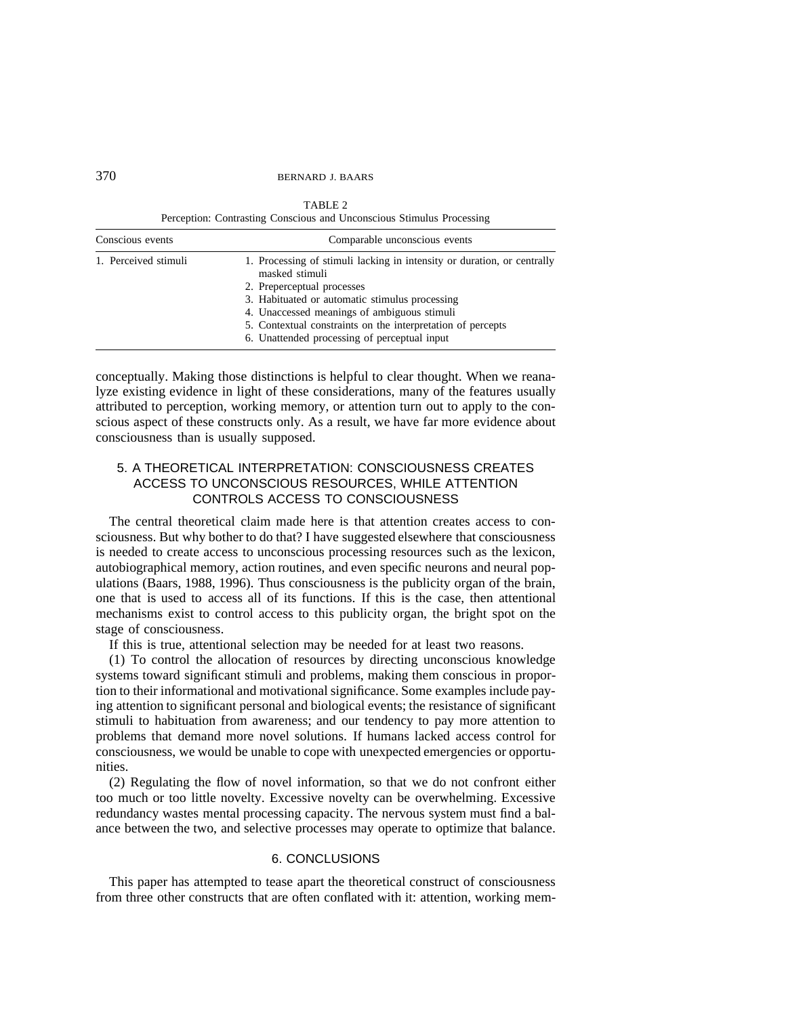#### 370 BERNARD J. BAARS

| I creeptron. Contrasting Conscious and Onconscious Bunnarus I rocessing |                                                                                                                                                                                                                                                                                                                                         |  |  |
|-------------------------------------------------------------------------|-----------------------------------------------------------------------------------------------------------------------------------------------------------------------------------------------------------------------------------------------------------------------------------------------------------------------------------------|--|--|
| Conscious events                                                        | Comparable unconscious events                                                                                                                                                                                                                                                                                                           |  |  |
| 1. Perceived stimuli                                                    | 1. Processing of stimuli lacking in intensity or duration, or centrally<br>masked stimuli<br>2. Preperceptual processes<br>3. Habituated or automatic stimulus processing<br>4. Unaccessed meanings of ambiguous stimuli<br>5. Contextual constraints on the interpretation of percepts<br>6. Unattended processing of perceptual input |  |  |

TABLE 2 Perception: Contrasting Conscious and Unconscious Stimulus Processing

conceptually. Making those distinctions is helpful to clear thought. When we reanalyze existing evidence in light of these considerations, many of the features usually attributed to perception, working memory, or attention turn out to apply to the conscious aspect of these constructs only. As a result, we have far more evidence about consciousness than is usually supposed.

### 5. A THEORETICAL INTERPRETATION: CONSCIOUSNESS CREATES ACCESS TO UNCONSCIOUS RESOURCES, WHILE ATTENTION CONTROLS ACCESS TO CONSCIOUSNESS

The central theoretical claim made here is that attention creates access to consciousness. But why bother to do that? I have suggested elsewhere that consciousness is needed to create access to unconscious processing resources such as the lexicon, autobiographical memory, action routines, and even specific neurons and neural populations (Baars, 1988, 1996). Thus consciousness is the publicity organ of the brain, one that is used to access all of its functions. If this is the case, then attentional mechanisms exist to control access to this publicity organ, the bright spot on the stage of consciousness.

If this is true, attentional selection may be needed for at least two reasons.

(1) To control the allocation of resources by directing unconscious knowledge systems toward significant stimuli and problems, making them conscious in proportion to their informational and motivational significance. Some examples include paying attention to significant personal and biological events; the resistance of significant stimuli to habituation from awareness; and our tendency to pay more attention to problems that demand more novel solutions. If humans lacked access control for consciousness, we would be unable to cope with unexpected emergencies or opportunities.

(2) Regulating the flow of novel information, so that we do not confront either too much or too little novelty. Excessive novelty can be overwhelming. Excessive redundancy wastes mental processing capacity. The nervous system must find a balance between the two, and selective processes may operate to optimize that balance.

### 6. CONCLUSIONS

This paper has attempted to tease apart the theoretical construct of consciousness from three other constructs that are often conflated with it: attention, working mem